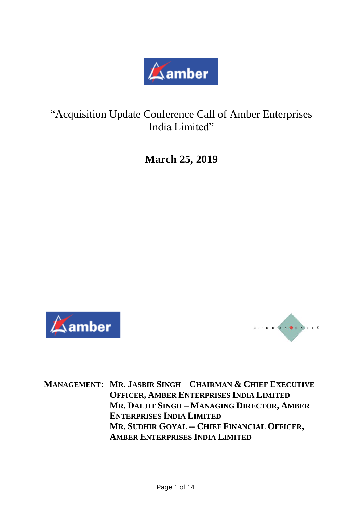

"Acquisition Update Conference Call of Amber Enterprises India Limited"

**March 25, 2019**





**MANAGEMENT: MR. JASBIR SINGH – CHAIRMAN & CHIEF EXECUTIVE OFFICER, AMBER ENTERPRISES INDIA LIMITED MR. DALJIT SINGH – MANAGING DIRECTOR, AMBER ENTERPRISES INDIA LIMITED MR. SUDHIR GOYAL -- CHIEF FINANCIAL OFFICER, AMBER ENTERPRISES INDIA LIMITED**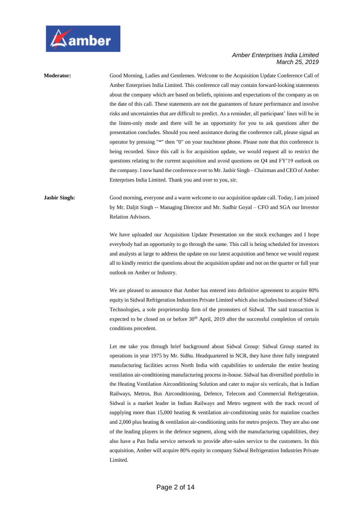

**Moderator:** Good Morning, Ladies and Gentlemen. Welcome to the Acquisition Update Conference Call of Amber Enterprises India Limited. This conference call may contain forward-looking statements about the company which are based on beliefs, opinions and expectations of the company as on the date of this call. These statements are not the guarantees of future performance and involve risks and uncertainties that are difficult to predict. As a reminder, all participant' lines will be in the listen-only mode and there will be an opportunity for you to ask questions after the presentation concludes. Should you need assistance during the conference call, please signal an operator by pressing "\*" then "0" on your touchtone phone. Please note that this conference is being recorded. Since this call is for acquisition update, we would request all to restrict the questions relating to the current acquisition and avoid questions on Q4 and FY'19 outlook on the company. I now hand the conference over to Mr. Jasbir Singh – Chairman and CEO of Amber Enterprises India Limited. Thank you and over to you, sir.

**Jasbir Singh:** Good morning, everyone and a warm welcome to our acquisition update call. Today, I am joined by Mr. Daljit Singh -- Managing Director and Mr. Sudhir Goyal – CFO and SGA our Investor Relation Advisors.

> We have uploaded our Acquisition Update Presentation on the stock exchanges and I hope everybody had an opportunity to go through the same. This call is being scheduled for investors and analysts at large to address the update on our latest acquisition and hence we would request all to kindly restrict the questions about the acquisition update and not on the quarter or full year outlook on Amber or Industry.

> We are pleased to announce that Amber has entered into definitive agreement to acquire 80% equity in Sidwal Refrigeration Industries Private Limited which also includes business of Sidwal Technologies, a sole proprietorship firm of the promoters of Sidwal. The said transaction is expected to be closed on or before 30<sup>th</sup> April, 2019 after the successful completion of certain conditions precedent.

> Let me take you through brief background about Sidwal Group: Sidwal Group started its operations in year 1975 by Mr. Sidhu. Headquartered in NCR, they have three fully integrated manufacturing facilities across North India with capabilities to undertake the entire heating ventilation air-conditioning manufacturing process in-house. Sidwal has diversified portfolio in the Heating Ventilation Airconditioning Solution and cater to major six verticals, that is Indian Railways, Metros, Bus Airconditioning, Defence, Telecom and Commercial Refrigeration. Sidwal is a market leader in Indian Railways and Metro segment with the track record of supplying more than 15,000 heating & ventilation air-conditioning units for mainline coaches and 2,000 plus heating & ventilation air-conditioning units for metro projects. They are also one of the leading players in the defence segment, along with the manufacturing capabilities, they also have a Pan India service network to provide after-sales service to the customers. In this acquisition, Amber will acquire 80% equity in company Sidwal Refrigeration Industries Private Limited.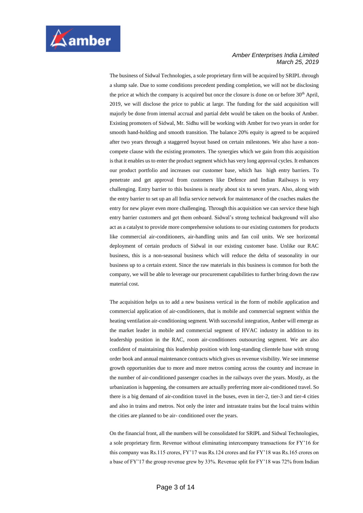

The business of Sidwal Technologies, a sole proprietary firm will be acquired by SRIPL through a slump sale. Due to some conditions precedent pending completion, we will not be disclosing the price at which the company is acquired but once the closure is done on or before  $30<sup>th</sup>$  April, 2019, we will disclose the price to public at large. The funding for the said acquisition will majorly be done from internal accrual and partial debt would be taken on the books of Amber. Existing promoters of Sidwal, Mr. Sidhu will be working with Amber for two years in order for smooth hand-holding and smooth transition. The balance 20% equity is agreed to be acquired after two years through a staggered buyout based on certain milestones. We also have a noncompete clause with the existing promoters. The synergies which we gain from this acquisition is that it enables us to enter the product segment which has very long approval cycles. It enhances our product portfolio and increases our customer base, which has high entry barriers. To penetrate and get approval from customers like Defence and Indian Railways is very challenging. Entry barrier to this business is nearly about six to seven years. Also, along with the entry barrier to set up an all India service network for maintenance of the coaches makes the entry for new player even more challenging. Through this acquisition we can service these high entry barrier customers and get them onboard. Sidwal's strong technical background will also act as a catalyst to provide more comprehensive solutions to our existing customers for products like commercial air-conditioners, air-handling units and fan coil units. We see horizontal deployment of certain products of Sidwal in our existing customer base. Unlike our RAC business, this is a non-seasonal business which will reduce the delta of seasonality in our business up to a certain extent. Since the raw materials in this business is common for both the company, we will be able to leverage our procurement capabilities to further bring down the raw material cost.

The acquisition helps us to add a new business vertical in the form of mobile application and commercial application of air-conditioners, that is mobile and commercial segment within the heating ventilation air-conditioning segment. With successful integration, Amber will emerge as the market leader in mobile and commercial segment of HVAC industry in addition to its leadership position in the RAC, room air-conditioners outsourcing segment. We are also confident of maintaining this leadership position with long-standing clientele base with strong order book and annual maintenance contracts which gives us revenue visibility. We see immense growth opportunities due to more and more metros coming across the country and increase in the number of air-conditioned passenger coaches in the railways over the years. Mostly, as the urbanization is happening, the consumers are actually preferring more air-conditioned travel. So there is a big demand of air-condition travel in the buses, even in tier-2, tier-3 and tier-4 cities and also in trains and metros. Not only the inter and intrastate trains but the local trains within the cities are planned to be air- conditioned over the years.

On the financial front, all the numbers will be consolidated for SRIPL and Sidwal Technologies, a sole proprietary firm. Revenue without eliminating intercompany transactions for FY'16 for this company was Rs.115 crores, FY'17 was Rs.124 crores and for FY'18 was Rs.165 crores on a base of FY'17 the group revenue grew by 33%. Revenue split for FY'18 was 72% from Indian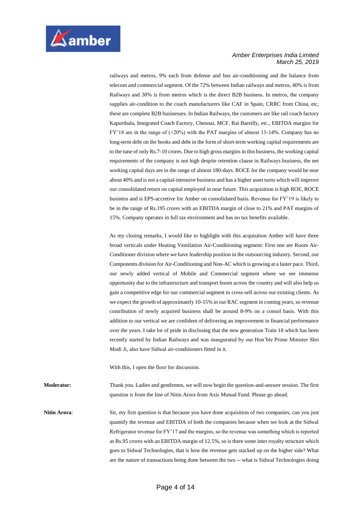

railways and metros, 9% each from defense and bus air-conditioning and the balance from telecom and commercial segment. Of the 72% between Indian railways and metros, 40% is from Railways and 30% is from metros which is the direct B2B business. In metros, the company supplies air-condition to the coach manufacturers like CAF in Spain, CRRC from China, etc, these are complete B2B businesses. In Indian Railways, the customers are like rail coach factory Kapurthala, Integrated Coach Factory, Chennai, MCF, Rai Bareilly, etc., EBITDA margins for FY'18 are in the range of (+20%) with the PAT margins of almost 13-14%. Company has no long-term debt on the books and debt in the form of short-term working capital requirements are to the tune of only Rs.7-10 crores. Due to high gross margins in this business, the working capital requirements of the company is not high despite retention clause in Railways business, the net working capital days are in the range of almost 180-days. ROCE for the company would be near about 40% and is not a capital-intensive business and has a higher asset turns which will improve our consolidated return on capital employed in near future. This acquisition is high ROE, ROCE business and is EPS-accretive for Amber on consolidated basis. Revenue for FY'19 is likely to be in the range of Rs.195 crores with an EBITDA margin of close to 21% and PAT margins of 15%. Company operates in full tax environment and has no tax benefits available.

As my closing remarks, I would like to highlight with this acquisition Amber will have three broad verticals under Heating Ventilation Air-Conditioning segment: First one are Room Air-Conditioner division where we have leadership position in the outsourcing industry. Second, our Components division for Air-Conditioning and Non-AC which is growing at a faster pace. Third, our newly added vertical of Mobile and Commercial segment where we see immense opportunity due to the infrastructure and transport boom across the country and will also help us gain a competitive edge for our commercial segment to cross-sell across our existing clients. As we expect the growth of approximately 10-15% in our RAC segment in coming years, so revenue contribution of newly acquired business shall be around 8-9% on a consol basis. With this addition to our vertical we are confident of delivering an improvement in financial performance over the years. I take lot of pride in disclosing that the new generation Train 18 which has been recently started by Indian Railways and was inaugurated by our Hon'ble Prime Minister Shri Modi Ji, also have Sidwal air-conditioners fitted in it.

With this, I open the floor for discussion.

**Moderator:** Thank you. Ladies and gentlemen, we will now begin the question-and-answer session. The first question is from the line of Nitin Arora from Axis Mutual Fund. Please go ahead.

**Nitin Arora:** Sir, my first question is that because you have done acquisition of two companies, can you just quantify the revenue and EBITDA of both the companies because when we look at the Sidwal Refrigerator revenue for FY'17 and the margins, so the revenue was something which is reported as Rs.95 crores with an EBITDA margin of 12.5%, so is there some inter royalty structure which goes to Sidwal Technologies, that is how the revenue gets stacked up on the higher side? What are the nature of transactions being done between the two -- what is Sidwal Technologies doing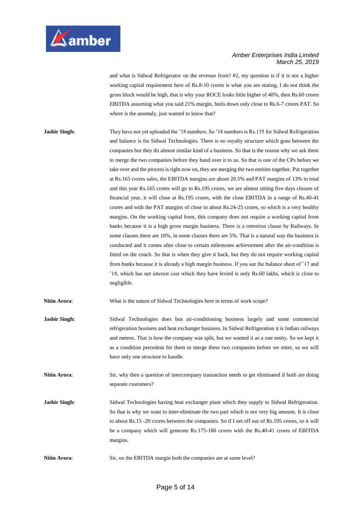

and what is Sidwal Refrigerator on the revenue front? #2, my question is if it is not a higher working capital requirement here of Rs.8-10 crores is what you are stating, I do not think the gross block would be high, that is why your ROCE looks little higher of 40%, then Rs.60 crores EBITDA assuming what you said 21% margin, boils down only close to Rs.6-7 crores PAT. So where is the anomaly, just wanted to know that?

**Jasbir Singh:** They have not yet uploaded the '18 numbers. So '18 numbers is Rs.135 for Sidwal Refrigeration and balance is for Sidwal Technologies. There is no royalty structure which goes between the companies but they do almost similar kind of a business. So that is the reason why we ask them to merge the two companies before they hand over it to us. So that is one of the CPs before we take over and the process is right now on, they are merging the two entities together. Put together at Rs.165 crores sales, the EBITDA margins are about 20.5% and PAT margins of 13% in total and this year Rs.165 crores will go to Rs.195 crores, we are almost sitting five days closure of financial year, it will close at Rs.195 crores, with the close EBITDA in a range of Rs.40-41 crores and with the PAT margins of close to about Rs.24-25 crores, so which is a very healthy margins. On the working capital front, this company does not require a working capital from banks because it is a high gross margin business. There is a retention clause by Railways. In some clauses there are 10%, in some clauses there are 5%. That is a natural way the business is conducted and it comes after close to certain milestones achievement after the air-condition is fitted on the coach. So that is when they give it back, but they do not require working capital from banks because it is already a high margin business. If you see the balance sheet of '17 and '18, which has net interest cost which they have levied is only Rs.60 lakhs, which is close to negligible.

**Nitin Arora**: What is the nature of Sidwal Technologies here in terms of work scope?

**Jasbir Singh:** Sidwal Technologies does bus air-conditioning business largely and some commercial refrigeration business and heat exchanger business. In Sidwal Refrigeration it is Indian railways and metros. That is how the company was split, but we wanted it as a one entity. So we kept it as a condition precedent for them to merge these two companies before we enter, so we will have only one structure to handle.

**Nitin Arora**: Sir, why then a question of intercompany transaction needs to get eliminated if both are doing separate customers?

**Jasbir Singh:** Sidwal Technologies having heat exchanger plant which they supply to Sidwal Refrigeration. So that is why we want to inter-eliminate the two part which is not very big amount. It is close to about Rs.15 -20 crores between the companies. So if I net off out of Rs.195 crores, so it will be a company which will generate Rs.175-180 crores with the Rs.40-41 crores of EBITDA margins.

**Nitin Arora:** Sir, on the EBITDA margin both the companies are at same level?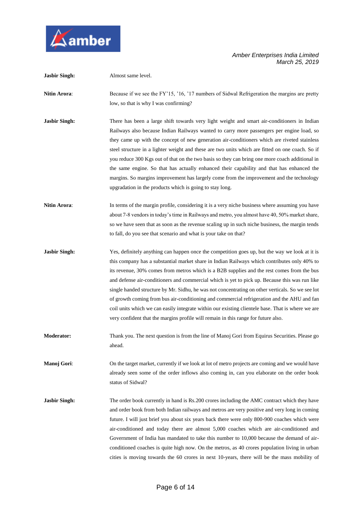

| <b>Jasbir Singh:</b> | Almost same level.                                                                                                                                                                                                                                                                                                                                                                                                                                                                                                                                                                                                                                                                                                                                                                           |
|----------------------|----------------------------------------------------------------------------------------------------------------------------------------------------------------------------------------------------------------------------------------------------------------------------------------------------------------------------------------------------------------------------------------------------------------------------------------------------------------------------------------------------------------------------------------------------------------------------------------------------------------------------------------------------------------------------------------------------------------------------------------------------------------------------------------------|
| <b>Nitin Arora:</b>  | Because if we see the FY'15, '16, '17 numbers of Sidwal Refrigeration the margins are pretty<br>low, so that is why I was confirming?                                                                                                                                                                                                                                                                                                                                                                                                                                                                                                                                                                                                                                                        |
| <b>Jasbir Singh:</b> | There has been a large shift towards very light weight and smart air-conditioners in Indian<br>Railways also because Indian Railways wanted to carry more passengers per engine load, so<br>they came up with the concept of new generation air-conditioners which are riveted stainless<br>steel structure in a lighter weight and these are two units which are fitted on one coach. So if<br>you reduce 300 Kgs out of that on the two basis so they can bring one more coach additional in<br>the same engine. So that has actually enhanced their capability and that has enhanced the<br>margins. So margins improvement has largely come from the improvement and the technology<br>upgradation in the products which is going to stay long.                                          |
| Nitin Arora:         | In terms of the margin profile, considering it is a very niche business where assuming you have<br>about 7-8 vendors in today's time in Railways and metro, you almost have 40, 50% market share,<br>so we have seen that as soon as the revenue scaling up in such niche business, the margin tends<br>to fall, do you see that scenario and what is your take on that?                                                                                                                                                                                                                                                                                                                                                                                                                     |
| <b>Jasbir Singh:</b> | Yes, definitely anything can happen once the competition goes up, but the way we look at it is<br>this company has a substantial market share in Indian Railways which contributes only 40% to<br>its revenue, 30% comes from metros which is a B2B supplies and the rest comes from the bus<br>and defense air-conditioners and commercial which is yet to pick up. Because this was run like<br>single handed structure by Mr. Sidhu, he was not concentrating on other verticals. So we see lot<br>of growth coming from bus air-conditioning and commercial refrigeration and the AHU and fan<br>coil units which we can easily integrate within our existing clientele base. That is where we are<br>very confident that the margins profile will remain in this range for future also. |
| <b>Moderator:</b>    | Thank you. The next question is from the line of Manoj Gori from Equirus Securities. Please go<br>ahead.                                                                                                                                                                                                                                                                                                                                                                                                                                                                                                                                                                                                                                                                                     |
| Manoj Gori:          | On the target market, currently if we look at lot of metro projects are coming and we would have<br>already seen some of the order inflows also coming in, can you elaborate on the order book<br>status of Sidwal?                                                                                                                                                                                                                                                                                                                                                                                                                                                                                                                                                                          |
| <b>Jasbir Singh:</b> | The order book currently in hand is Rs.200 crores including the AMC contract which they have<br>and order book from both Indian railways and metros are very positive and very long in coming<br>future. I will just brief you about six years back there were only 800-900 coaches which were<br>air-conditioned and today there are almost 5,000 coaches which are air-conditioned and<br>Government of India has mandated to take this number to 10,000 because the demand of air-<br>conditioned coaches is quite high now. On the metros, as 40 crores population living in urban<br>cities is moving towards the 60 crores in next 10-years, there will be the mass mobility of                                                                                                        |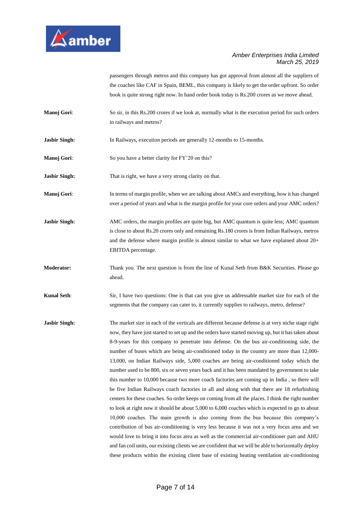

passengers through metros and this company has got approval from almost all the suppliers of the coaches like CAF in Spain, BEML, this company is likely to get the order upfront. So order book is quite strong right now. In hand order book today is Rs.200 crores as we move ahead.

- **Manoj Gori:** So sir, in this Rs.200 crores if we look at, normally what is the execution period for such orders in railways and metros?
- **Jasbir Singh:** In Railways, execution periods are generally 12-months to 15-months.
- **Manoj Gori:** So you have a better clarity for FY'20 on this?

**Jasbir Singh:** That is right, we have a very strong clarity on that.

- **Manoj Gori:** In terms of margin profile, when we are talking about AMCs and everything, how it has changed over a period of years and what is the margin profile for your core orders and your AMC orders?
- **Jasbir Singh:** AMC orders, the margin profiles are quite big, but AMC quantum is quite less; AMC quantum is close to about Rs.20 crores only and remaining Rs.180 crores is from Indian Railways, metros and the defense where margin profile is almost similar to what we have explained about 20+ EBITDA percentage.
- **Moderator:** Thank you. The next question is from the line of Kunal Seth from B&K Securities. Please go ahead.

**Kunal Seth**: Sir, I have two questions: One is that can you give us addressable market size for each of the segments that the company can cater to, it currently supplies to railways, metro, defense?

**Jasbir Singh:** The market size in each of the verticals are different because defense is at very niche stage right now, they have just started to set up and the orders have started moving up, but it has taken about 8-9-years for this company to penetrate into defense. On the bus air-conditioning side, the number of buses which are being air-conditioned today in the country are more than 12,000- 13,000, on Indian Railways side, 5,000 coaches are being air-conditioned today which the number used to be 800, six or seven years back and it has been mandated by government to take this number to 10,000 because two more coach factories are coming up in India , so there will be five Indian Railways coach factories in all and along with that there are 18 refurbishing centers for these coaches. So order keeps on coming from all the places. I think the right number to look at right now it should be about 5,000 to 6,000 coaches which is expected to go to about 10,000 coaches. The main growth is also coming from the bus because this company's contribution of bus air-conditioning is very less because it was not a very focus area and we would love to bring it into focus area as well as the commercial air-conditioner part and AHU and fan coil units, our existing clients we are confident that we will be able to horizontally deploy these products within the existing client base of existing heating ventilation air-conditioning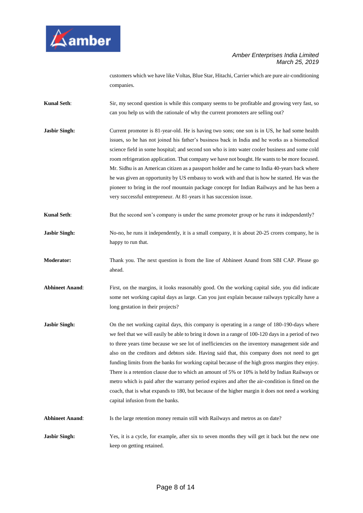

customers which we have like Voltas, Blue Star, Hitachi, Carrier which are pure air-conditioning companies.

- **Kunal Seth**: Sir, my second question is while this company seems to be profitable and growing very fast, so can you help us with the rationale of why the current promoters are selling out?
- **Jasbir Singh:** Current promoter is 81-year-old. He is having two sons; one son is in US, he had some health issues, so he has not joined his father's business back in India and he works as a biomedical science field in some hospital; and second son who is into water cooler business and some cold room refrigeration application. That company we have not bought. He wants to be more focused. Mr. Sidhu is an American citizen as a passport holder and he came to India 40-years back where he was given an opportunity by US embassy to work with and that is how he started. He was the pioneer to bring in the roof mountain package concept for Indian Railways and he has been a very successful entrepreneur. At 81-years it has succession issue.
- **Kunal Seth**: But the second son's company is under the same promoter group or he runs it independently?
- **Jasbir Singh:** No-no, he runs it independently, it is a small company, it is about 20-25 crores company, he is happy to run that.
- **Moderator:** Thank you. The next question is from the line of Abhineet Anand from SBI CAP. Please go ahead.
- Abhineet Anand: First, on the margins, it looks reasonably good. On the working capital side, you did indicate some net working capital days as large. Can you just explain because railways typically have a long gestation in their projects?
- **Jasbir Singh:** On the net working capital days, this company is operating in a range of 180-190-days where we feel that we will easily be able to bring it down in a range of 100-120 days in a period of two to three years time because we see lot of inefficiencies on the inventory management side and also on the creditors and debtors side. Having said that, this company does not need to get funding limits from the banks for working capital because of the high gross margins they enjoy. There is a retention clause due to which an amount of 5% or 10% is held by Indian Railways or metro which is paid after the warranty period expires and after the air-condition is fitted on the coach, that is what expands to 180, but because of the higher margin it does not need a working capital infusion from the banks.
- **Abhineet Anand**: Is the large retention money remain still with Railways and metros as on date?
- **Jasbir Singh:** Yes, it is a cycle, for example, after six to seven months they will get it back but the new one keep on getting retained.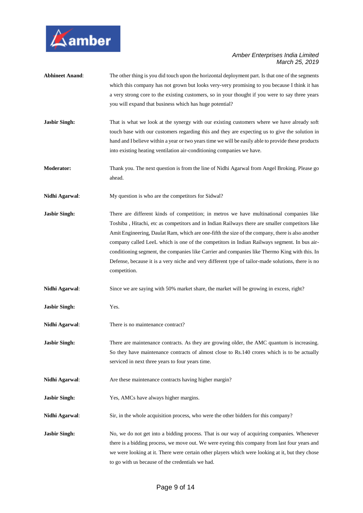

| <b>Abhineet Anand:</b> | The other thing is you did touch upon the horizontal deployment part. Is that one of the segments   |
|------------------------|-----------------------------------------------------------------------------------------------------|
|                        | which this company has not grown but looks very-very promising to you because I think it has        |
|                        | a very strong core to the existing customers, so in your thought if you were to say three years     |
|                        | you will expand that business which has huge potential?                                             |
| <b>Jasbir Singh:</b>   | That is what we look at the synergy with our existing customers where we have already soft          |
|                        | touch base with our customers regarding this and they are expecting us to give the solution in      |
|                        | hand and I believe within a year or two years time we will be easily able to provide these products |
|                        | into existing heating ventilation air-conditioning companies we have.                               |
| <b>Moderator:</b>      | Thank you. The next question is from the line of Nidhi Agarwal from Angel Broking. Please go        |
|                        | ahead.                                                                                              |
| Nidhi Agarwal:         | My question is who are the competitors for Sidwal?                                                  |
| <b>Jasbir Singh:</b>   | There are different kinds of competition; in metros we have multinational companies like            |
|                        | Toshiba, Hitachi, etc as competitors and in Indian Railways there are smaller competitors like      |
|                        | Amit Engineering, Daulat Ram, which are one-fifth the size of the company, there is also another    |
|                        | company called LeeL which is one of the competitors in Indian Railways segment. In bus air-         |
|                        | conditioning segment, the companies like Carrier and companies like Thermo King with this. In       |
|                        | Defense, because it is a very niche and very different type of tailor-made solutions, there is no   |
|                        | competition.                                                                                        |
| Nidhi Agarwal:         | Since we are saying with 50% market share, the market will be growing in excess, right?             |
| <b>Jasbir Singh:</b>   | Yes.                                                                                                |
| Nidhi Agarwal:         | There is no maintenance contract?                                                                   |
| <b>Jasbir Singh:</b>   | There are maintenance contracts. As they are growing older, the AMC quantum is increasing.          |
|                        | So they have maintenance contracts of almost close to Rs.140 crores which is to be actually         |
|                        | serviced in next three years to four years time.                                                    |
| Nidhi Agarwal:         | Are these maintenance contracts having higher margin?                                               |
| <b>Jasbir Singh:</b>   | Yes, AMCs have always higher margins.                                                               |
| Nidhi Agarwal:         | Sir, in the whole acquisition process, who were the other bidders for this company?                 |
| <b>Jasbir Singh:</b>   | No, we do not get into a bidding process. That is our way of acquiring companies. Whenever          |
|                        | there is a bidding process, we move out. We were eyeing this company from last four years and       |
|                        | we were looking at it. There were certain other players which were looking at it, but they chose    |
|                        | to go with us because of the credentials we had.                                                    |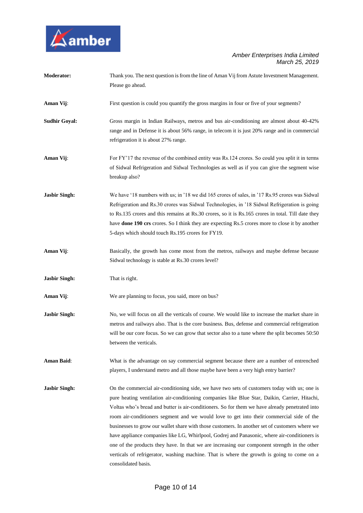

| <b>Moderator:</b>    | Thank you. The next question is from the line of Aman Vij from Astute Investment Management.           |
|----------------------|--------------------------------------------------------------------------------------------------------|
|                      | Please go ahead.                                                                                       |
| Aman Vij:            | First question is could you quantify the gross margins in four or five of your segments?               |
| <b>Sudhir Goyal:</b> | Gross margin in Indian Railways, metros and bus air-conditioning are almost about 40-42%               |
|                      | range and in Defense it is about 56% range, in telecom it is just 20% range and in commercial          |
|                      | refrigeration it is about 27% range.                                                                   |
| Aman Vij:            | For FY'17 the revenue of the combined entity was Rs.124 crores. So could you split it in terms         |
|                      | of Sidwal Refrigeration and Sidwal Technologies as well as if you can give the segment wise            |
|                      | breakup also?                                                                                          |
| <b>Jasbir Singh:</b> | We have '18 numbers with us; in '18 we did 165 crores of sales, in '17 Rs.95 crores was Sidwal         |
|                      | Refrigeration and Rs.30 crores was Sidwal Technologies, in '18 Sidwal Refrigeration is going           |
|                      | to Rs.135 crores and this remains at Rs.30 crores, so it is Rs.165 crores in total. Till date they     |
|                      | have <b>done 190 crs</b> crores. So I think they are expecting Rs.5 crores more to close it by another |
|                      | 5-days which should touch Rs.195 crores for FY19.                                                      |
| Aman Vij:            | Basically, the growth has come most from the metros, railways and maybe defense because                |
|                      | Sidwal technology is stable at Rs.30 crores level?                                                     |
| <b>Jasbir Singh:</b> | That is right.                                                                                         |
| Aman Vij:            | We are planning to focus, you said, more on bus?                                                       |
| <b>Jasbir Singh:</b> | No, we will focus on all the verticals of course. We would like to increase the market share in        |
|                      | metros and railways also. That is the core business. Bus, defense and commercial refrigeration         |
|                      | will be our core focus. So we can grow that sector also to a tune where the split becomes 50:50        |
|                      | between the verticals.                                                                                 |
| <b>Aman Baid:</b>    | What is the advantage on say commercial segment because there are a number of entrenched               |
|                      | players, I understand metro and all those maybe have been a very high entry barrier?                   |
| <b>Jasbir Singh:</b> | On the commercial air-conditioning side, we have two sets of customers today with us; one is           |
|                      | pure heating ventilation air-conditioning companies like Blue Star, Daikin, Carrier, Hitachi,          |
|                      | Voltas who's bread and butter is air-conditioners. So for them we have already penetrated into         |
|                      | room air-conditioners segment and we would love to get into their commercial side of the               |
|                      | businesses to grow our wallet share with those customers. In another set of customers where we         |
|                      | have appliance companies like LG, Whirlpool, Godrej and Panasonic, where air-conditioners is           |
|                      | one of the products they have. In that we are increasing our component strength in the other           |
|                      | verticals of refrigerator, washing machine. That is where the growth is going to come on a             |
|                      | consolidated basis.                                                                                    |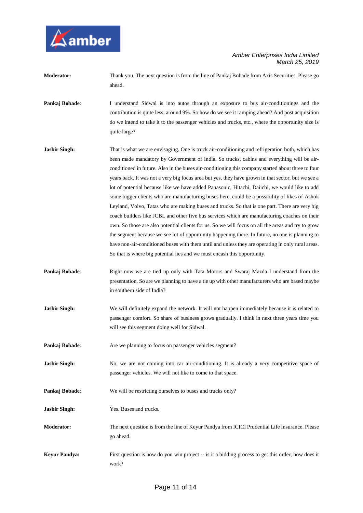

| <b>Moderator:</b> | Thank you. The next question is from the line of Pankaj Bobade from Axis Securities. Please go |
|-------------------|------------------------------------------------------------------------------------------------|
|                   | ahead.                                                                                         |

- **Pankaj Bobade**: I understand Sidwal is into autos through an exposure to bus air-conditionings and the contribution is quite less, around 9%. So how do we see it ramping ahead? And post acquisition do we intend to take it to the passenger vehicles and trucks, etc., where the opportunity size is quite large?
- **Jasbir Singh:** That is what we are envisaging. One is truck air-conditioning and refrigeration both, which has been made mandatory by Government of India. So trucks, cabins and everything will be airconditioned in future. Also in the buses air-conditioning this company started about three to four years back. It was not a very big focus area but yes, they have grown in that sector, but we see a lot of potential because like we have added Panasonic, Hitachi, Daiichi, we would like to add some bigger clients who are manufacturing buses here, could be a possibility of likes of Ashok Leyland, Volvo, Tatas who are making buses and trucks. So that is one part. There are very big coach builders like JCBL and other five bus services which are manufacturing coaches on their own. So those are also potential clients for us. So we will focus on all the areas and try to grow the segment because we see lot of opportunity happening there. In future, no one is planning to have non-air-conditioned buses with them until and unless they are operating in only rural areas. So that is where big potential lies and we must encash this opportunity.
- **Pankaj Bobade:** Right now we are tied up only with Tata Motors and Swaraj Mazda I understand from the presentation. So are we planning to have a tie up with other manufacturers who are based maybe in southern side of India?
- **Jasbir Singh:** We will definitely expand the network. It will not happen immediately because it is related to passenger comfort. So share of business grows gradually. I think in next three years time you will see this segment doing well for Sidwal.
- **Pankaj Bobade:** Are we planning to focus on passenger vehicles segment?
- **Jasbir Singh:** No, we are not coming into car air-conditioning. It is already a very competitive space of passenger vehicles. We will not like to come to that space.
- **Pankaj Bobade:** We will be restricting ourselves to buses and trucks only?
- **Jasbir Singh:** Yes. Buses and trucks.
- **Moderator:** The next question is from the line of Keyur Pandya from ICICI Prudential Life Insurance. Please go ahead.
- **Keyur Pandya:** First question is how do you win project -- is it a bidding process to get this order, how does it work?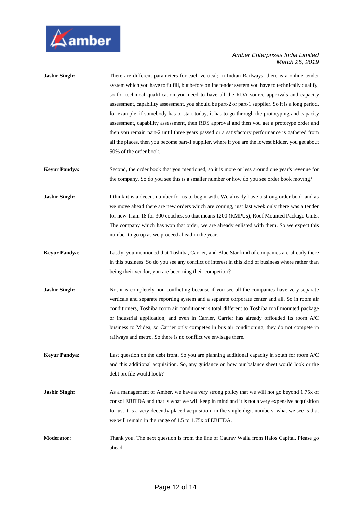

| <b>Jasbir Singh:</b> | There are different parameters for each vertical; in Indian Railways, there is a online tender<br>system which you have to fulfill, but before online tender system you have to technically qualify,<br>so for technical qualification you need to have all the RDA source approvals and capacity<br>assessment, capability assessment, you should be part-2 or part-1 supplier. So it is a long period,<br>for example, if somebody has to start today, it has to go through the prototyping and capacity<br>assessment, capability assessment, then RDS approval and then you get a prototype order and<br>then you remain part-2 until three years passed or a satisfactory performance is gathered from<br>all the places, then you become part-1 supplier, where if you are the lowest bidder, you get about<br>50% of the order book. |
|----------------------|---------------------------------------------------------------------------------------------------------------------------------------------------------------------------------------------------------------------------------------------------------------------------------------------------------------------------------------------------------------------------------------------------------------------------------------------------------------------------------------------------------------------------------------------------------------------------------------------------------------------------------------------------------------------------------------------------------------------------------------------------------------------------------------------------------------------------------------------|
| <b>Keyur Pandya:</b> | Second, the order book that you mentioned, so it is more or less around one year's revenue for<br>the company. So do you see this is a smaller number or how do you see order book moving?                                                                                                                                                                                                                                                                                                                                                                                                                                                                                                                                                                                                                                                  |
| <b>Jasbir Singh:</b> | I think it is a decent number for us to begin with. We already have a strong order book and as<br>we move ahead there are new orders which are coming, just last week only there was a tender<br>for new Train 18 for 300 coaches, so that means 1200 (RMPUs), Roof Mounted Package Units.<br>The company which has won that order, we are already enlisted with them. So we expect this<br>number to go up as we proceed ahead in the year.                                                                                                                                                                                                                                                                                                                                                                                                |
| <b>Keyur Pandya:</b> | Lastly, you mentioned that Toshiba, Carrier, and Blue Star kind of companies are already there<br>in this business. So do you see any conflict of interest in this kind of business where rather than<br>being their vendor, you are becoming their competitor?                                                                                                                                                                                                                                                                                                                                                                                                                                                                                                                                                                             |
| <b>Jasbir Singh:</b> | No, it is completely non-conflicting because if you see all the companies have very separate<br>verticals and separate reporting system and a separate corporate center and all. So in room air<br>conditioners, Toshiba room air conditioner is total different to Toshiba roof mounted package<br>or industrial application, and even in Carrier, Carrier has already offloaded its room A/C<br>business to Midea, so Carrier only competes in bus air conditioning, they do not compete in<br>railways and metro. So there is no conflict we envisage there.                                                                                                                                                                                                                                                                             |
| <b>Keyur Pandya:</b> | Last question on the debt front. So you are planning additional capacity in south for room A/C<br>and this additional acquisition. So, any guidance on how our balance sheet would look or the<br>debt profile would look?                                                                                                                                                                                                                                                                                                                                                                                                                                                                                                                                                                                                                  |
| <b>Jasbir Singh:</b> | As a management of Amber, we have a very strong policy that we will not go beyond 1.75x of<br>consol EBITDA and that is what we will keep in mind and it is not a very expensive acquisition<br>for us, it is a very decently placed acquisition, in the single digit numbers, what we see is that<br>we will remain in the range of 1.5 to 1.75x of EBITDA.                                                                                                                                                                                                                                                                                                                                                                                                                                                                                |
| <b>Moderator:</b>    | Thank you. The next question is from the line of Gaurav Walia from Halos Capital. Please go<br>ahead.                                                                                                                                                                                                                                                                                                                                                                                                                                                                                                                                                                                                                                                                                                                                       |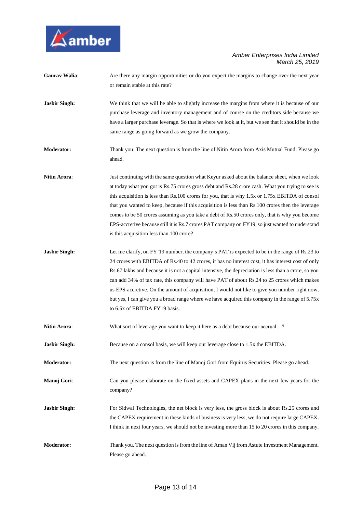

| <b>Gaurav Walia:</b> | Are there any margin opportunities or do you expect the margins to change over the next year<br>or remain stable at this rate?                                                                                                                                                                                                                                                                                                                                                                                                                                                                                                                             |
|----------------------|------------------------------------------------------------------------------------------------------------------------------------------------------------------------------------------------------------------------------------------------------------------------------------------------------------------------------------------------------------------------------------------------------------------------------------------------------------------------------------------------------------------------------------------------------------------------------------------------------------------------------------------------------------|
| <b>Jasbir Singh:</b> | We think that we will be able to slightly increase the margins from where it is because of our<br>purchase leverage and inventory management and of course on the creditors side because we<br>have a larger purchase leverage. So that is where we look at it, but we see that it should be in the<br>same range as going forward as we grow the company.                                                                                                                                                                                                                                                                                                 |
| <b>Moderator:</b>    | Thank you. The next question is from the line of Nitin Arora from Axis Mutual Fund. Please go<br>ahead.                                                                                                                                                                                                                                                                                                                                                                                                                                                                                                                                                    |
| <b>Nitin Arora:</b>  | Just continuing with the same question what Keyur asked about the balance sheet, when we look<br>at today what you got is Rs.75 crores gross debt and Rs.28 crore cash. What you trying to see is<br>this acquisition is less than Rs.100 crores for you, that is why 1.5x or 1.75x EBITDA of consol<br>that you wanted to keep, because if this acquisition is less than Rs.100 crores then the leverage<br>comes to be 50 crores assuming as you take a debt of Rs.50 crores only, that is why you become<br>EPS-accretive because still it is Rs.7 crores PAT company on FY19, so just wanted to understand<br>is this acquisition less than 100 crore? |
| <b>Jasbir Singh:</b> | Let me clarify, on FY'19 number, the company's PAT is expected to be in the range of Rs.23 to<br>24 crores with EBITDA of Rs.40 to 42 crores, it has no interest cost, it has interest cost of only<br>Rs.67 lakhs and because it is not a capital intensive, the depreciation is less than a crore, so you<br>can add 34% of tax rate, this company will have PAT of about Rs.24 to 25 crores which makes<br>us EPS-accretive. On the amount of acquisition, I would not like to give you number right now,<br>but yes, I can give you a broad range where we have acquired this company in the range of 5.75x<br>to 6.5x of EBITDA FY19 basis.           |
| <b>Nitin Arora:</b>  | What sort of leverage you want to keep it here as a debt because our accrual?                                                                                                                                                                                                                                                                                                                                                                                                                                                                                                                                                                              |
| <b>Jasbir Singh:</b> | Because on a consol basis, we will keep our leverage close to 1.5x the EBITDA.                                                                                                                                                                                                                                                                                                                                                                                                                                                                                                                                                                             |
| <b>Moderator:</b>    | The next question is from the line of Manoj Gori from Equirus Securities. Please go ahead.                                                                                                                                                                                                                                                                                                                                                                                                                                                                                                                                                                 |
| Manoj Gori:          | Can you please elaborate on the fixed assets and CAPEX plans in the next few years for the<br>company?                                                                                                                                                                                                                                                                                                                                                                                                                                                                                                                                                     |
| <b>Jasbir Singh:</b> | For Sidwal Technologies, the net block is very less, the gross block is about Rs.25 crores and<br>the CAPEX requirement in these kinds of business is very less, we do not require large CAPEX.<br>I think in next four years, we should not be investing more than 15 to 20 crores in this company.                                                                                                                                                                                                                                                                                                                                                       |
| <b>Moderator:</b>    | Thank you. The next question is from the line of Aman Vij from Astute Investment Management.<br>Please go ahead.                                                                                                                                                                                                                                                                                                                                                                                                                                                                                                                                           |